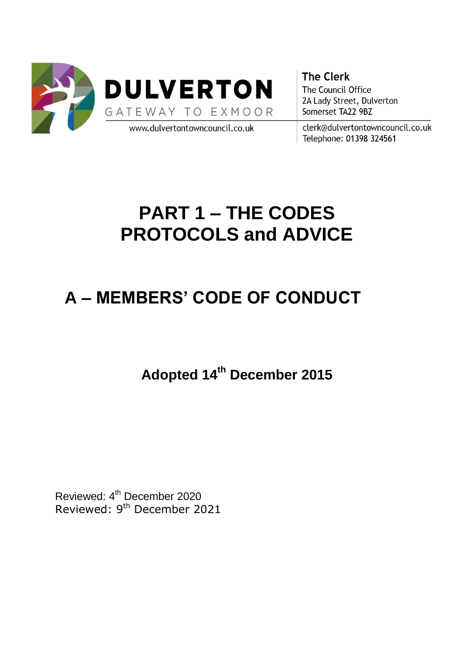

**The Clerk** The Council Office 2A Lady Street, Dulverton Somerset TA22 9BZ

clerk@dulvertontowncouncil.co.uk Telephone: 01398 324561

# **PART 1 – THE CODES PROTOCOLS and ADVICE**

## **A – MEMBERS' CODE OF CONDUCT**

## **Adopted 14th December 2015**

Reviewed: 4<sup>th</sup> December 2020 Reviewed: 9<sup>th</sup> December 2021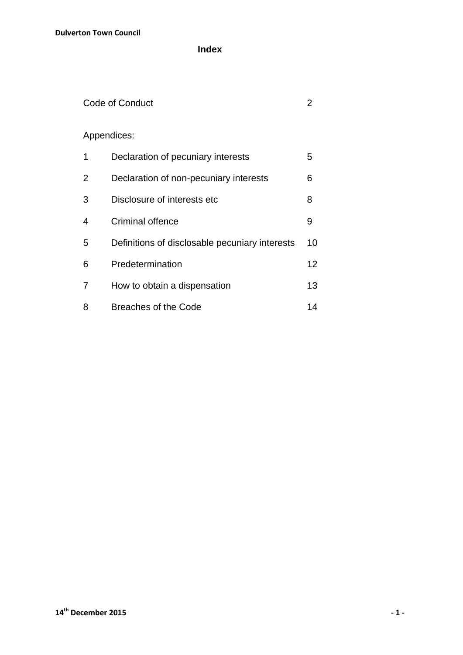**Index**

### Code of Conduct 2

### Appendices:

| 1 | Declaration of pecuniary interests             | 5               |
|---|------------------------------------------------|-----------------|
| 2 | Declaration of non-pecuniary interests         | 6               |
| 3 | Disclosure of interests etc                    | 8               |
| 4 | Criminal offence                               | 9               |
| 5 | Definitions of disclosable pecuniary interests | 10              |
| 6 | Predetermination                               | 12 <sup>2</sup> |
| 7 | How to obtain a dispensation                   | 13              |
| 8 | Breaches of the Code                           | 14              |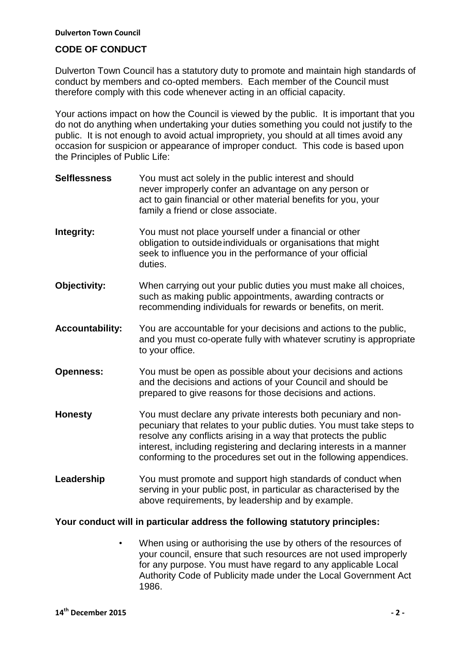#### **CODE OF CONDUCT**

Dulverton Town Council has a statutory duty to promote and maintain high standards of conduct by members and co-opted members. Each member of the Council must therefore comply with this code whenever acting in an official capacity.

Your actions impact on how the Council is viewed by the public. It is important that you do not do anything when undertaking your duties something you could not justify to the public. It is not enough to avoid actual impropriety, you should at all times avoid any occasion for suspicion or appearance of improper conduct. This code is based upon the Principles of Public Life:

**Selflessness** You must act solely in the public interest and should never improperly confer an advantage on any person or act to gain financial or other material benefits for you, your family a friend or close associate. **Integrity:** You must not place yourself under a financial or other obligation to outsideindividuals or organisations that might seek to influence you in the performance of your official duties. **Objectivity:** When carrying out your public duties you must make all choices, such as making public appointments, awarding contracts or recommending individuals for rewards or benefits, on merit. **Accountability:** You are accountable for your decisions and actions to the public, and you must co-operate fully with whatever scrutiny is appropriate to your office. **Openness:** You must be open as possible about your decisions and actions and the decisions and actions of your Council and should be prepared to give reasons for those decisions and actions. **Honesty** You must declare any private interests both pecuniary and nonpecuniary that relates to your public duties. You must take steps to resolve any conflicts arising in a way that protects the public interest, including registering and declaring interests in a manner conforming to the procedures set out in the following appendices. Leadership You must promote and support high standards of conduct when serving in your public post, in particular as characterised by the above requirements, by leadership and by example.

#### **Your conduct will in particular address the following statutory principles:**

 • When using or authorising the use by others of the resources of your council, ensure that such resources are not used improperly for any purpose. You must have regard to any applicable Local Authority Code of Publicity made under the Local Government Act 1986.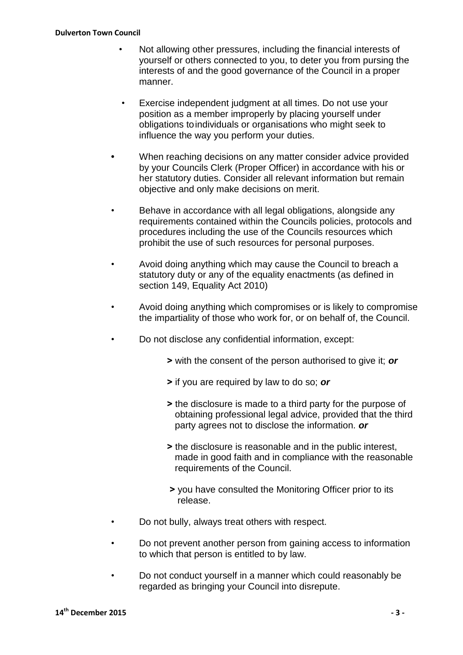- Not allowing other pressures, including the financial interests of yourself or others connected to you, to deter you from pursing the interests of and the good governance of the Council in a proper manner.
- Exercise independent judgment at all times. Do not use your position as a member improperly by placing yourself under obligations toindividuals or organisations who might seek to influence the way you perform your duties.
- **•** When reaching decisions on any matter consider advice provided by your Councils Clerk (Proper Officer) in accordance with his or her statutory duties. Consider all relevant information but remain objective and only make decisions on merit.
- Behave in accordance with all legal obligations, alongside any requirements contained within the Councils policies, protocols and procedures including the use of the Councils resources which prohibit the use of such resources for personal purposes.
- Avoid doing anything which may cause the Council to breach a statutory duty or any of the equality enactments (as defined in section 149. Equality Act 2010)
- Avoid doing anything which compromises or is likely to compromise the impartiality of those who work for, or on behalf of, the Council.
- Do not disclose any confidential information, except:
	- **˃** with the consent of the person authorised to give it; *or*
	- **˃** if you are required by law to do so; *or*
	- **˃** the disclosure is made to a third party for the purpose of obtaining professional legal advice, provided that the third party agrees not to disclose the information*. or*
	- **˃** the disclosure is reasonable and in the public interest, made in good faith and in compliance with the reasonable requirements of the Council.
	- **˃** you have consulted the Monitoring Officer prior to its release.
- Do not bully, always treat others with respect.
- Do not prevent another person from gaining access to information to which that person is entitled to by law.
- Do not conduct yourself in a manner which could reasonably be regarded as bringing your Council into disrepute.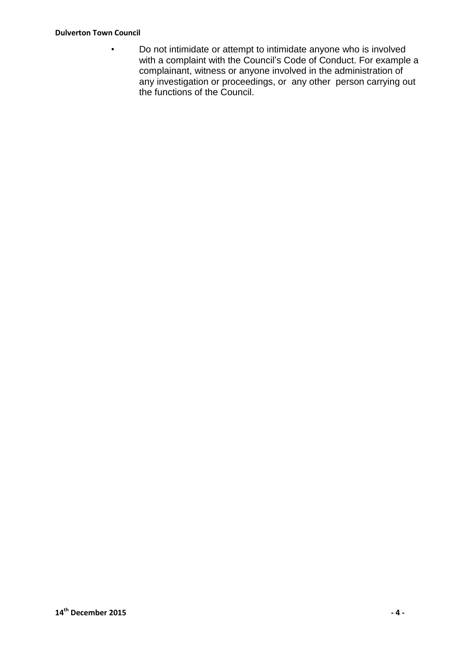#### **Dulverton Town Council**

• Do not intimidate or attempt to intimidate anyone who is involved with a complaint with the Council's Code of Conduct. For example a complainant, witness or anyone involved in the administration of any investigation or proceedings, or any other person carrying out the functions of the Council.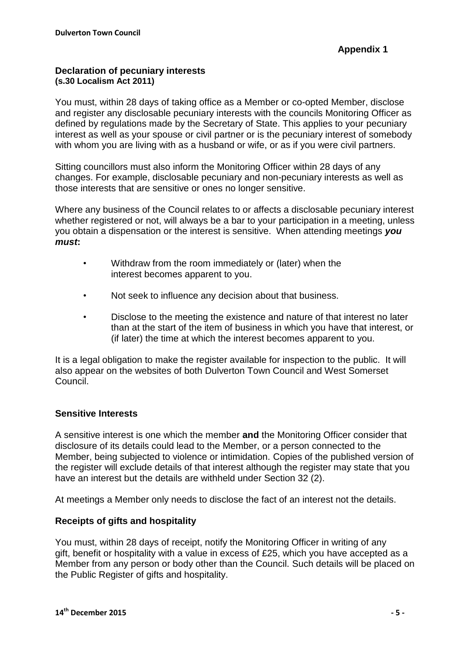#### **Declaration of pecuniary interests (s.30 Localism Act 2011)**

You must, within 28 days of taking office as a Member or co-opted Member, disclose and register any disclosable pecuniary interests with the councils Monitoring Officer as defined by regulations made by the Secretary of State. This applies to your pecuniary interest as well as your spouse or civil partner or is the pecuniary interest of somebody with whom you are living with as a husband or wife, or as if you were civil partners.

Sitting councillors must also inform the Monitoring Officer within 28 days of any changes. For example, disclosable pecuniary and non-pecuniary interests as well as those interests that are sensitive or ones no longer sensitive.

Where any business of the Council relates to or affects a disclosable pecuniary interest whether registered or not, will always be a bar to your participation in a meeting, unless you obtain a dispensation or the interest is sensitive. When attending meetings *you must***:**

- Withdraw from the room immediately or (later) when the interest becomes apparent to you.
- Not seek to influence any decision about that business.
- Disclose to the meeting the existence and nature of that interest no later than at the start of the item of business in which you have that interest, or (if later) the time at which the interest becomes apparent to you.

It is a legal obligation to make the register available for inspection to the public. It will also appear on the websites of both Dulverton Town Council and West Somerset Council.

#### **Sensitive Interests**

A sensitive interest is one which the member **and** the Monitoring Officer consider that disclosure of its details could lead to the Member, or a person connected to the Member, being subjected to violence or intimidation. Copies of the published version of the register will exclude details of that interest although the register may state that you have an interest but the details are withheld under Section 32 (2).

At meetings a Member only needs to disclose the fact of an interest not the details.

#### **Receipts of gifts and hospitality**

You must, within 28 days of receipt, notify the Monitoring Officer in writing of any gift, benefit or hospitality with a value in excess of £25, which you have accepted as a Member from any person or body other than the Council. Such details will be placed on the Public Register of gifts and hospitality.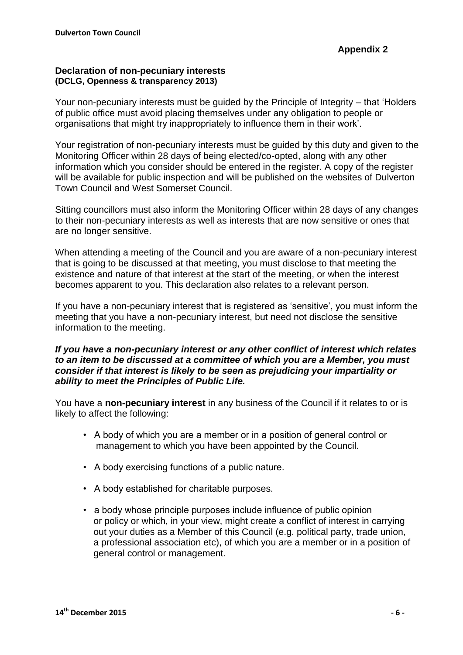#### **Declaration of non-pecuniary interests (DCLG, Openness & transparency 2013)**

Your non-pecuniary interests must be guided by the Principle of Integrity – that 'Holders of public office must avoid placing themselves under any obligation to people or organisations that might try inappropriately to influence them in their work'.

Your registration of non-pecuniary interests must be guided by this duty and given to the Monitoring Officer within 28 days of being elected/co-opted, along with any other information which you consider should be entered in the register. A copy of the register will be available for public inspection and will be published on the websites of Dulverton Town Council and West Somerset Council.

Sitting councillors must also inform the Monitoring Officer within 28 days of any changes to their non-pecuniary interests as well as interests that are now sensitive or ones that are no longer sensitive.

When attending a meeting of the Council and you are aware of a non-pecuniary interest that is going to be discussed at that meeting, you must disclose to that meeting the existence and nature of that interest at the start of the meeting, or when the interest becomes apparent to you. This declaration also relates to a relevant person.

If you have a non-pecuniary interest that is registered as 'sensitive', you must inform the meeting that you have a non-pecuniary interest, but need not disclose the sensitive information to the meeting.

#### *If you have a non-pecuniary interest or any other conflict of interest which relates to an item to be discussed at a committee of which you are a Member, you must consider if that interest is likely to be seen as prejudicing your impartiality or ability to meet the Principles of Public Life.*

You have a **non-pecuniary interest** in any business of the Council if it relates to or is likely to affect the following:

- A body of which you are a member or in a position of general control or management to which you have been appointed by the Council.
- A body exercising functions of a public nature.
- A body established for charitable purposes.
- a body whose principle purposes include influence of public opinion or policy or which, in your view, might create a conflict of interest in carrying out your duties as a Member of this Council (e.g. political party, trade union, a professional association etc), of which you are a member or in a position of general control or management.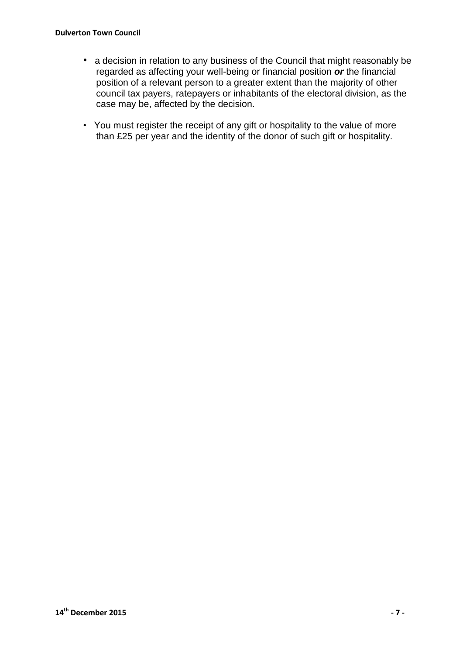- a decision in relation to any business of the Council that might reasonably be regarded as affecting your well-being or financial position *or* the financial position of a relevant person to a greater extent than the majority of other council tax payers, ratepayers or inhabitants of the electoral division, as the case may be, affected by the decision.
- You must register the receipt of any gift or hospitality to the value of more than £25 per year and the identity of the donor of such gift or hospitality.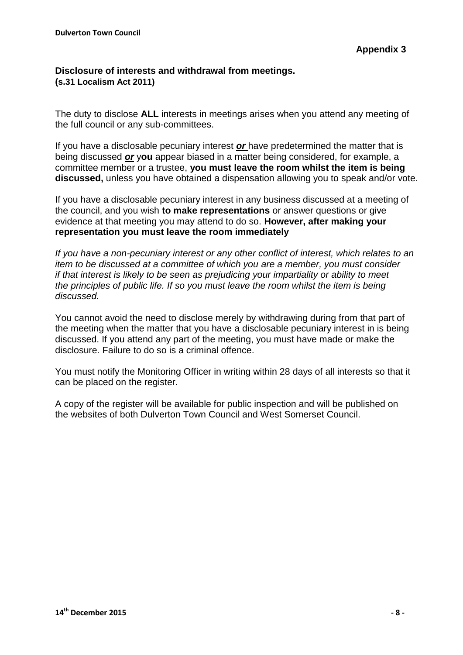#### **Disclosure of interests and withdrawal from meetings. (s.31 Localism Act 2011)**

The duty to disclose **ALL** interests in meetings arises when you attend any meeting of the full council or any sub-committees.

If you have a disclosable pecuniary interest *or* have predetermined the matter that is being discussed *or* y**ou** appear biased in a matter being considered, for example, a committee member or a trustee, **you must leave the room whilst the item is being discussed,** unless you have obtained a dispensation allowing you to speak and/or vote.

If you have a disclosable pecuniary interest in any business discussed at a meeting of the council, and you wish **to make representations** or answer questions or give evidence at that meeting you may attend to do so. **However, after making your representation you must leave the room immediately**

*If you have a non-pecuniary interest or any other conflict of interest, which relates to an item to be discussed at a committee of which you are a member, you must consider if that interest is likely to be seen as prejudicing your impartiality or ability to meet the principles of public life. If so you must leave the room whilst the item is being discussed.*

You cannot avoid the need to disclose merely by withdrawing during from that part of the meeting when the matter that you have a disclosable pecuniary interest in is being discussed. If you attend any part of the meeting, you must have made or make the disclosure. Failure to do so is a criminal offence.

You must notify the Monitoring Officer in writing within 28 days of all interests so that it can be placed on the register.

A copy of the register will be available for public inspection and will be published on the websites of both Dulverton Town Council and West Somerset Council.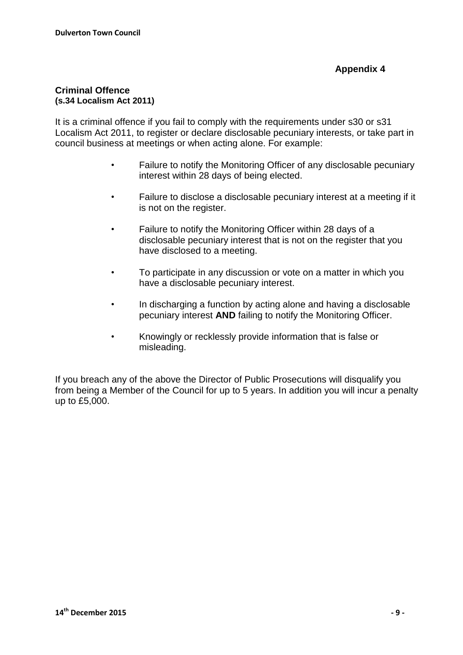#### **Criminal Offence (s.34 Localism Act 2011)**

It is a criminal offence if you fail to comply with the requirements under s30 or s31 Localism Act 2011, to register or declare disclosable pecuniary interests, or take part in council business at meetings or when acting alone. For example:

- Failure to notify the Monitoring Officer of any disclosable pecuniary interest within 28 days of being elected.
- Failure to disclose a disclosable pecuniary interest at a meeting if it is not on the register.
- Failure to notify the Monitoring Officer within 28 days of a disclosable pecuniary interest that is not on the register that you have disclosed to a meeting.
- To participate in any discussion or vote on a matter in which you have a disclosable pecuniary interest.
- In discharging a function by acting alone and having a disclosable pecuniary interest **AND** failing to notify the Monitoring Officer.
- Knowingly or recklessly provide information that is false or misleading.

If you breach any of the above the Director of Public Prosecutions will disqualify you from being a Member of the Council for up to 5 years. In addition you will incur a penalty up to £5,000.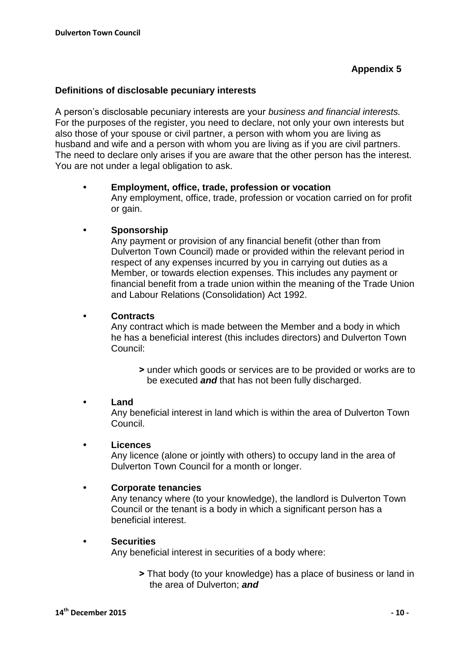#### **Definitions of disclosable pecuniary interests**

A person's disclosable pecuniary interests are your *business and financial interests.* For the purposes of the register, you need to declare, not only your own interests but also those of your spouse or civil partner, a person with whom you are living as husband and wife and a person with whom you are living as if you are civil partners. The need to declare only arises if you are aware that the other person has the interest. You are not under a legal obligation to ask.

#### **• Employment, office, trade, profession or vocation**

Any employment, office, trade, profession or vocation carried on for profit or gain.

#### **• Sponsorship**

Any payment or provision of any financial benefit (other than from Dulverton Town Council) made or provided within the relevant period in respect of any expenses incurred by you in carrying out duties as a Member, or towards election expenses. This includes any payment or financial benefit from a trade union within the meaning of the Trade Union and Labour Relations (Consolidation) Act 1992.

#### **• Contracts**

Any contract which is made between the Member and a body in which he has a beneficial interest (this includes directors) and Dulverton Town Council:

**˃** under which goods or services are to be provided or works are to be executed *and* that has not been fully discharged.

#### **• Land**

Any beneficial interest in land which is within the area of Dulverton Town Council.

#### **• Licences**

Any licence (alone or jointly with others) to occupy land in the area of Dulverton Town Council for a month or longer.

#### **• Corporate tenancies**

Any tenancy where (to your knowledge), the landlord is Dulverton Town Council or the tenant is a body in which a significant person has a beneficial interest.

#### **• Securities**

Any beneficial interest in securities of a body where:

**˃** That body (to your knowledge) has a place of business or land in the area of Dulverton; *and*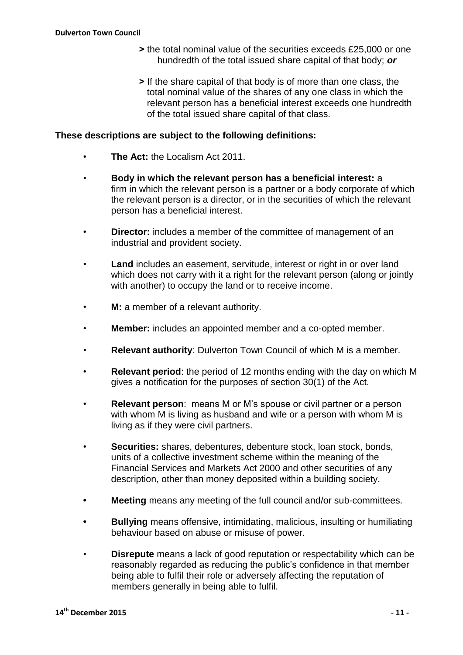- **˃** the total nominal value of the securities exceeds £25,000 or one hundredth of the total issued share capital of that body; *or*
- **˃** If the share capital of that body is of more than one class, the total nominal value of the shares of any one class in which the relevant person has a beneficial interest exceeds one hundredth of the total issued share capital of that class.

#### **These descriptions are subject to the following definitions:**

- **The Act:** the Localism Act 2011.
- **Body in which the relevant person has a beneficial interest:** a firm in which the relevant person is a partner or a body corporate of which the relevant person is a director, or in the securities of which the relevant person has a beneficial interest.
- **Director:** includes a member of the committee of management of an industrial and provident society.
- **Land** includes an easement, servitude, interest or right in or over land which does not carry with it a right for the relevant person (along or jointly with another) to occupy the land or to receive income.
- **M:** a member of a relevant authority.
- **Member:** includes an appointed member and a co-opted member.
- **Relevant authority**: Dulverton Town Council of which M is a member.
- **Relevant period**: the period of 12 months ending with the day on which M gives a notification for the purposes of section 30(1) of the Act.
- **Relevant person**: means M or M's spouse or civil partner or a person with whom M is living as husband and wife or a person with whom M is living as if they were civil partners.
- **Securities:** shares, debentures, debenture stock, loan stock, bonds, units of a collective investment scheme within the meaning of the Financial Services and Markets Act 2000 and other securities of any description, other than money deposited within a building society.
- **• Meeting** means any meeting of the full council and/or sub-committees.
- **• Bullying** means offensive, intimidating, malicious, insulting or humiliating behaviour based on abuse or misuse of power.
- **Disrepute** means a lack of good reputation or respectability which can be reasonably regarded as reducing the public's confidence in that member being able to fulfil their role or adversely affecting the reputation of members generally in being able to fulfil.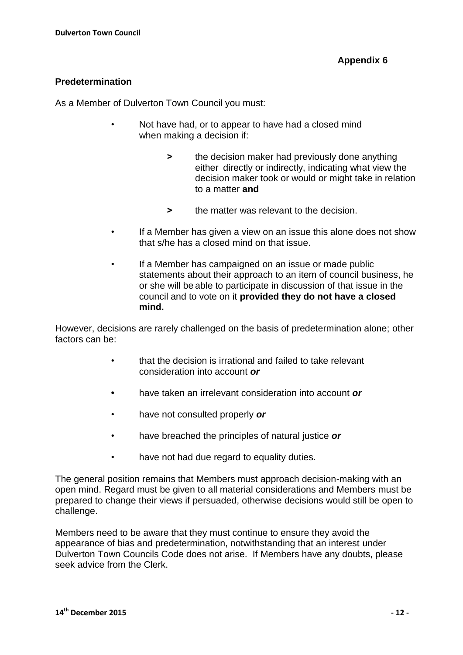#### **Predetermination**

As a Member of Dulverton Town Council you must:

- Not have had, or to appear to have had a closed mind when making a decision if:
	- $\triangleright$  the decision maker had previously done anything either directly or indirectly, indicating what view the decision maker took or would or might take in relation to a matter **and**
	- **˃** the matter was relevant to the decision.
- If a Member has given a view on an issue this alone does not show that s/he has a closed mind on that issue.
- If a Member has campaigned on an issue or made public statements about their approach to an item of council business, he or she will be able to participate in discussion of that issue in the council and to vote on it **provided they do not have a closed mind.**

However, decisions are rarely challenged on the basis of predetermination alone; other factors can be:

- that the decision is irrational and failed to take relevant consideration into account *or*
- **•** have taken an irrelevant consideration into account *or*
- have not consulted properly *or*
- have breached the principles of natural justice *or*
- have not had due regard to equality duties.

The general position remains that Members must approach decision-making with an open mind. Regard must be given to all material considerations and Members must be prepared to change their views if persuaded, otherwise decisions would still be open to challenge.

Members need to be aware that they must continue to ensure they avoid the appearance of bias and predetermination, notwithstanding that an interest under Dulverton Town Councils Code does not arise. If Members have any doubts, please seek advice from the Clerk.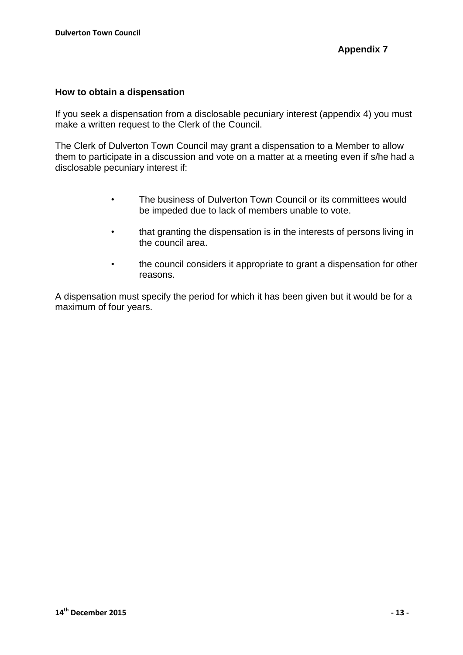#### **How to obtain a dispensation**

If you seek a dispensation from a disclosable pecuniary interest (appendix 4) you must make a written request to the Clerk of the Council.

The Clerk of Dulverton Town Council may grant a dispensation to a Member to allow them to participate in a discussion and vote on a matter at a meeting even if s/he had a disclosable pecuniary interest if:

- The business of Dulverton Town Council or its committees would be impeded due to lack of members unable to vote.
- that granting the dispensation is in the interests of persons living in the council area.
- the council considers it appropriate to grant a dispensation for other reasons.

A dispensation must specify the period for which it has been given but it would be for a maximum of four years.